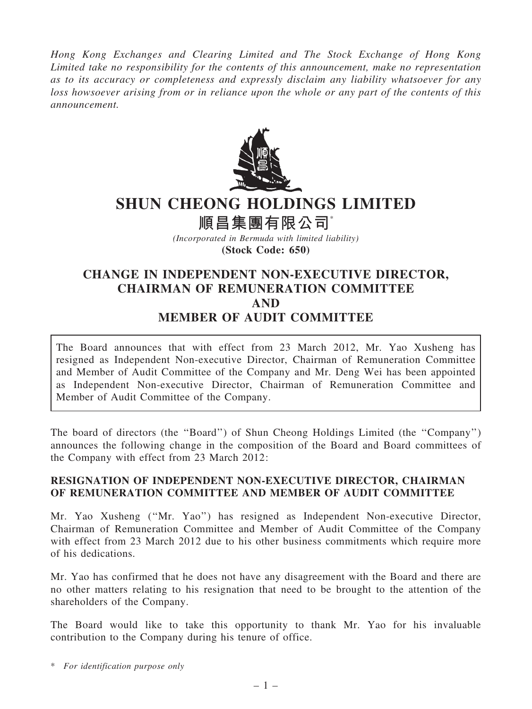Hong Kong Exchanges and Clearing Limited and The Stock Exchange of Hong Kong Limited take no responsibility for the contents of this announcement, make no representation as to its accuracy or completeness and expressly disclaim any liability whatsoever for any loss howsoever arising from or in reliance upon the whole or any part of the contents of this announcement.



# SHUN CHEONG HOLDINGS LIMITED

順昌集團有限公司\*

(Incorporated in Bermuda with limited liability) (Stock Code: 650)

# CHANGE IN INDEPENDENT NON-EXECUTIVE DIRECTOR, CHAIRMAN OF REMUNERATION COMMITTEE AND MEMBER OF AUDIT COMMITTEE

The Board announces that with effect from 23 March 2012, Mr. Yao Xusheng has resigned as Independent Non-executive Director, Chairman of Remuneration Committee and Member of Audit Committee of the Company and Mr. Deng Wei has been appointed as Independent Non-executive Director, Chairman of Remuneration Committee and Member of Audit Committee of the Company.

The board of directors (the ''Board'') of Shun Cheong Holdings Limited (the ''Company'') announces the following change in the composition of the Board and Board committees of the Company with effect from 23 March 2012:

## RESIGNATION OF INDEPENDENT NON-EXECUTIVE DIRECTOR, CHAIRMAN OF REMUNERATION COMMITTEE AND MEMBER OF AUDIT COMMITTEE

Mr. Yao Xusheng (''Mr. Yao'') has resigned as Independent Non-executive Director, Chairman of Remuneration Committee and Member of Audit Committee of the Company with effect from 23 March 2012 due to his other business commitments which require more of his dedications.

Mr. Yao has confirmed that he does not have any disagreement with the Board and there are no other matters relating to his resignation that need to be brought to the attention of the shareholders of the Company.

The Board would like to take this opportunity to thank Mr. Yao for his invaluable contribution to the Company during his tenure of office.

\* For identification purpose only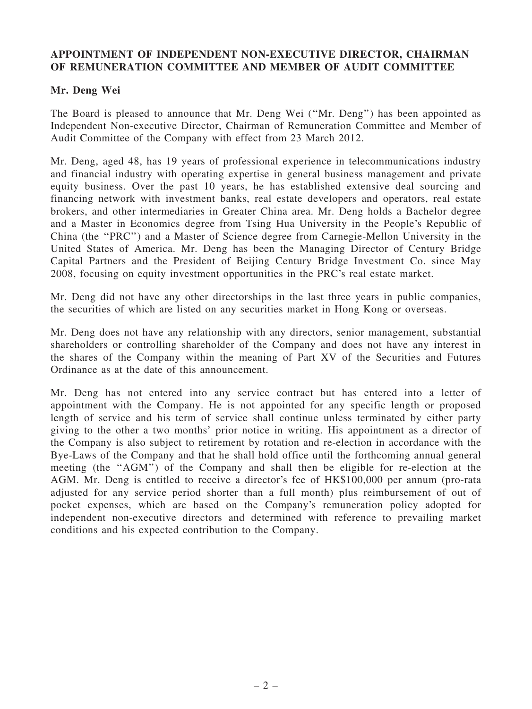### APPOINTMENT OF INDEPENDENT NON-EXECUTIVE DIRECTOR, CHAIRMAN OF REMUNERATION COMMITTEE AND MEMBER OF AUDIT COMMITTEE

### Mr. Deng Wei

The Board is pleased to announce that Mr. Deng Wei (''Mr. Deng'') has been appointed as Independent Non-executive Director, Chairman of Remuneration Committee and Member of Audit Committee of the Company with effect from 23 March 2012.

Mr. Deng, aged 48, has 19 years of professional experience in telecommunications industry and financial industry with operating expertise in general business management and private equity business. Over the past 10 years, he has established extensive deal sourcing and financing network with investment banks, real estate developers and operators, real estate brokers, and other intermediaries in Greater China area. Mr. Deng holds a Bachelor degree and a Master in Economics degree from Tsing Hua University in the People's Republic of China (the ''PRC'') and a Master of Science degree from Carnegie-Mellon University in the United States of America. Mr. Deng has been the Managing Director of Century Bridge Capital Partners and the President of Beijing Century Bridge Investment Co. since May 2008, focusing on equity investment opportunities in the PRC's real estate market.

Mr. Deng did not have any other directorships in the last three years in public companies, the securities of which are listed on any securities market in Hong Kong or overseas.

Mr. Deng does not have any relationship with any directors, senior management, substantial shareholders or controlling shareholder of the Company and does not have any interest in the shares of the Company within the meaning of Part XV of the Securities and Futures Ordinance as at the date of this announcement.

Mr. Deng has not entered into any service contract but has entered into a letter of appointment with the Company. He is not appointed for any specific length or proposed length of service and his term of service shall continue unless terminated by either party giving to the other a two months' prior notice in writing. His appointment as a director of the Company is also subject to retirement by rotation and re-election in accordance with the Bye-Laws of the Company and that he shall hold office until the forthcoming annual general meeting (the ''AGM'') of the Company and shall then be eligible for re-election at the AGM. Mr. Deng is entitled to receive a director's fee of HK\$100,000 per annum (pro-rata adjusted for any service period shorter than a full month) plus reimbursement of out of pocket expenses, which are based on the Company's remuneration policy adopted for independent non-executive directors and determined with reference to prevailing market conditions and his expected contribution to the Company.